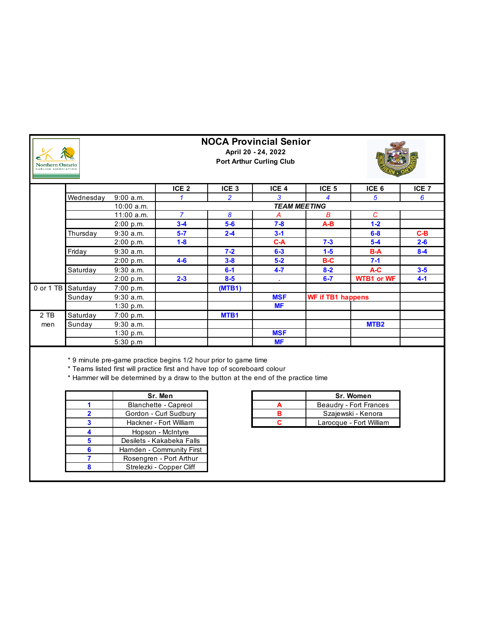| <b>Northern Ontario</b><br>CURLING ASSOCIATION |           |             |                  | <b>NOCA Provincial Senior</b> | April 20 - 24, 2022<br><b>Port Arthur Curling Club</b> |                  |                          |                  |
|------------------------------------------------|-----------|-------------|------------------|-------------------------------|--------------------------------------------------------|------------------|--------------------------|------------------|
|                                                |           |             | ICE <sub>2</sub> | ICE <sub>3</sub>              | ICE <sub>4</sub>                                       | ICE <sub>5</sub> | ICE <sub>6</sub>         | ICE <sub>7</sub> |
|                                                | Wednesday | 9:00 a.m.   |                  | $\overline{2}$                | 3                                                      | 4                | 5                        | 6                |
|                                                |           | 10:00 a.m.  |                  | <b>TEAM MEETING</b>           |                                                        |                  |                          |                  |
|                                                |           | 11:00 a.m.  | $\overline{7}$   | 8                             | A                                                      | B                | $\mathcal{C}$            |                  |
|                                                |           | 2:00 p.m.   | $3-4$            | $5-6$                         | $7 - 8$                                                | A-B              | $1 - 2$                  |                  |
|                                                | Thursday  | $9:30$ a.m. | $5 - 7$          | $2 - 4$                       | $3 - 1$                                                |                  | $6 - 8$                  | $C-B$            |
|                                                |           | 2:00 p.m.   | $1 - 8$          |                               | $C-A$                                                  | $7 - 3$          | $5-4$                    | $2 - 6$          |
|                                                | Friday    | $9:30$ a.m. |                  | $7 - 2$                       | $6 - 3$                                                | $1-5$            | <b>B-A</b>               | $8 - 4$          |
|                                                |           | 2:00 p.m.   | $4 - 6$          | $3 - 8$                       | $5 - 2$                                                | $B-C$            | $7 - 1$                  |                  |
|                                                | Saturday  | 9:30a.m.    |                  | $6-1$                         | $4 - 7$                                                | $8 - 2$          | A-C                      | $3 - 5$          |
|                                                |           | 2:00 p.m.   | $2 - 3$          | $8 - 5$                       |                                                        | $6 - 7$          | <b>WTB1 or WF</b>        | $4 - 1$          |
| 0 or 1 TB                                      | Saturday  | 7:00 p.m.   |                  | (MTB1)                        |                                                        |                  |                          |                  |
|                                                | Sunday    | $9:30$ a.m. |                  |                               | <b>MSF</b>                                             |                  | <b>WF if TB1 happens</b> |                  |
|                                                |           | 1:30 p.m.   |                  |                               | <b>MF</b>                                              |                  |                          |                  |
| 2 TB                                           | Saturday  | 7:00 p.m.   |                  | MTB1                          |                                                        |                  |                          |                  |
| men                                            | Sunday    | $9:30$ a.m. |                  |                               |                                                        |                  | MTB <sub>2</sub>         |                  |
|                                                |           | 1:30 p.m.   |                  |                               | <b>MSF</b>                                             |                  |                          |                  |
|                                                |           | 5:30 p.m    |                  |                               | <b>MF</b>                                              |                  |                          |                  |

\* 9 minute pre-game practice begins 1/2 hour prior to game time

\* Teams listed first will practice first and have top of scoreboard colour

\* Hammer will be determined by a draw to the button at the end of the practice time

|   | Sr. Men                   |
|---|---------------------------|
|   | Blanchette - Capreol      |
| 2 | Gordon - Curl Sudbury     |
| 3 | Hackner - Fort William    |
|   | Hopson - McIntyre         |
| 5 | Desilets - Kakabeka Falls |
| 6 | Harnden - Community First |
|   | Rosengren - Port Arthur   |
|   | Strelezki - Copper Cliff  |

|   | Sr. Women               |
|---|-------------------------|
|   | Beaudry - Fort Frances  |
| R | Szajewski - Kenora      |
|   | Larocque - Fort William |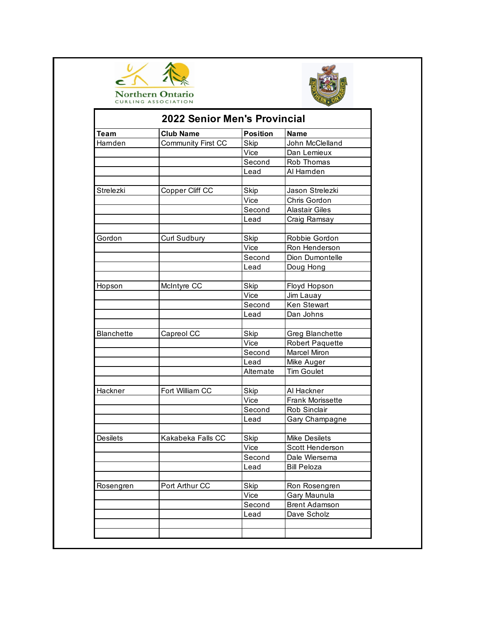



|                   | <b>2022 Senior Men's Provincial</b> |                 |                                     |  |  |
|-------------------|-------------------------------------|-----------------|-------------------------------------|--|--|
| <b>Team</b>       | <b>Club Name</b>                    | <b>Position</b> | <b>Name</b>                         |  |  |
| Hamden            | <b>Community First CC</b>           | <b>Skip</b>     | John McClelland                     |  |  |
|                   |                                     | Vice            | Dan Lemieux                         |  |  |
|                   |                                     | Second          | Rob Thomas                          |  |  |
|                   |                                     | Lead            | Al Hamden                           |  |  |
| Strelezki         | Copper Cliff CC                     | <b>Skip</b>     | Jason Strelezki                     |  |  |
|                   |                                     | Vice            | Chris Gordon                        |  |  |
|                   |                                     | Second          | <b>Alastair Giles</b>               |  |  |
|                   |                                     | Lead            |                                     |  |  |
|                   |                                     |                 | <b>Craig Ramsay</b>                 |  |  |
| Gordon            | Curl Sudbury                        | <b>Skip</b>     | Robbie Gordon                       |  |  |
|                   |                                     | Vice            | Ron Henderson                       |  |  |
|                   |                                     | Second          | Dion Dumontelle                     |  |  |
|                   |                                     | Lead            | Doug Hong                           |  |  |
|                   |                                     |                 |                                     |  |  |
| Hopson            | McIntyre CC                         | <b>Skip</b>     | Floyd Hopson                        |  |  |
|                   |                                     | Vice            | Jim Lauay                           |  |  |
|                   |                                     | Second          | Ken Stewart                         |  |  |
|                   |                                     | Lead            | Dan Johns                           |  |  |
| <b>Blanchette</b> | Capreol CC                          | <b>Skip</b>     | Greg Blanchette                     |  |  |
|                   |                                     | Vice            | <b>Robert Paquette</b>              |  |  |
|                   |                                     | Second          | Marcel Miron                        |  |  |
|                   |                                     | Lead            | Mike Auger                          |  |  |
|                   |                                     | Alternate       | <b>Tim Goulet</b>                   |  |  |
|                   |                                     |                 |                                     |  |  |
| Hackner           | Fort William CC                     | <b>Skip</b>     | Al Hackner                          |  |  |
|                   |                                     | Vice            | Frank Morissette                    |  |  |
|                   |                                     | Second          | Rob Sinclair                        |  |  |
|                   |                                     | Lead            | Gary Champagne                      |  |  |
| <b>Desilets</b>   | Kakabeka Falls CC                   | Skip            | <b>Mike Desilets</b>                |  |  |
|                   |                                     | Vice            | Scott Henderson                     |  |  |
|                   |                                     | Second          |                                     |  |  |
|                   |                                     |                 | Dale Wiersema<br><b>Bill Peloza</b> |  |  |
|                   |                                     | Lead            |                                     |  |  |
| Rosengren         | Port Arthur CC                      | <b>Skip</b>     | Ron Rosengren                       |  |  |
|                   |                                     | Vice            | Gary Maunula                        |  |  |
|                   |                                     | Second          | <b>Brent Adamson</b>                |  |  |
|                   |                                     | Lead            | Dave Scholz                         |  |  |
|                   |                                     |                 |                                     |  |  |
|                   |                                     |                 |                                     |  |  |